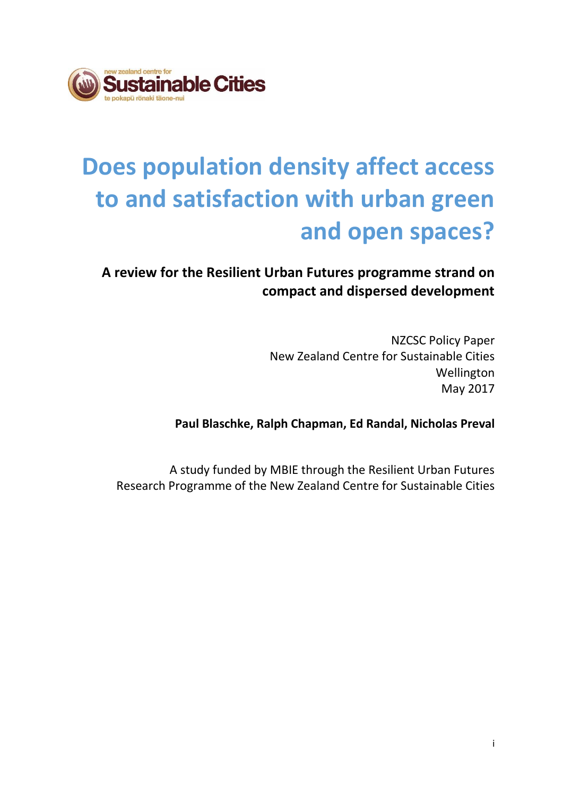

# **Does population density affect access to and satisfaction with urban green and open spaces?**

# **A review for the Resilient Urban Futures programme strand on compact and dispersed development**

NZCSC Policy Paper New Zealand Centre for Sustainable Cities Wellington May 2017

**Paul Blaschke, Ralph Chapman, Ed Randal, Nicholas Preval**

A study funded by MBIE through the Resilient Urban Futures Research Programme of the New Zealand Centre for Sustainable Cities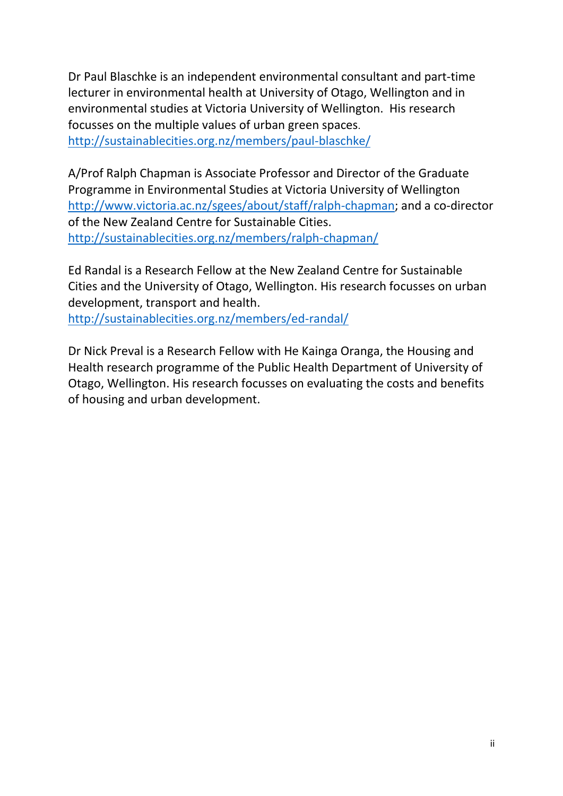Dr Paul Blaschke is an independent environmental consultant and part-time lecturer in environmental health at University of Otago, Wellington and in environmental studies at Victoria University of Wellington. His research focusses on the multiple values of urban green spaces. <http://sustainablecities.org.nz/members/paul-blaschke/>

A/Prof Ralph Chapman is Associate Professor and Director of the Graduate Programme in Environmental Studies at Victoria University of Wellington [http://www.victoria.ac.nz/sgees/about/staff/ralph-chapman;](http://www.victoria.ac.nz/sgees/about/staff/ralph-chapman) and a co-director of the New Zealand Centre for Sustainable Cities. <http://sustainablecities.org.nz/members/ralph-chapman/>

Ed Randal is a Research Fellow at the New Zealand Centre for Sustainable Cities and the University of Otago, Wellington. His research focusses on urban development, transport and health.

<http://sustainablecities.org.nz/members/ed-randal/>

Dr Nick Preval is a Research Fellow with He Kainga Oranga, the Housing and Health research programme of the Public Health Department of University of Otago, Wellington. His research focusses on evaluating the costs and benefits of housing and urban development.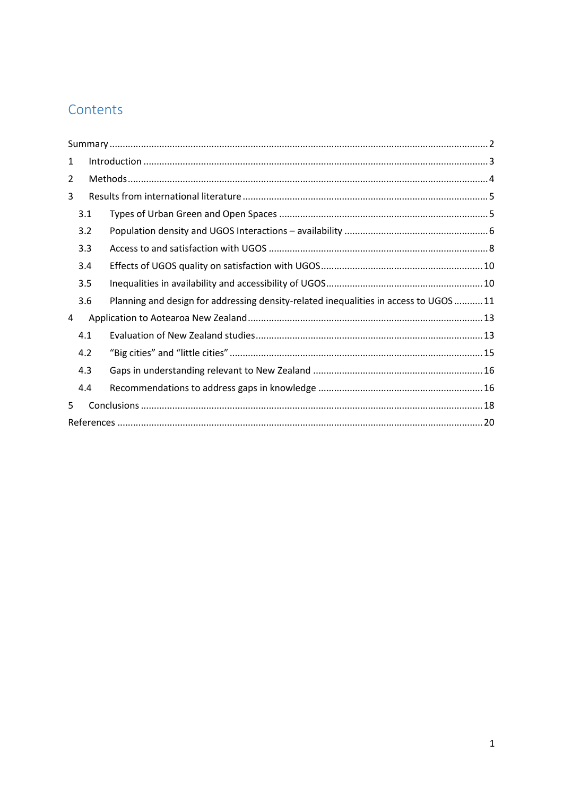# Contents

| 1 |     |                                                                                     |  |  |  |  |
|---|-----|-------------------------------------------------------------------------------------|--|--|--|--|
| 2 |     |                                                                                     |  |  |  |  |
| 3 |     |                                                                                     |  |  |  |  |
|   | 3.1 |                                                                                     |  |  |  |  |
|   | 3.2 |                                                                                     |  |  |  |  |
|   | 3.3 |                                                                                     |  |  |  |  |
|   | 3.4 |                                                                                     |  |  |  |  |
|   | 3.5 |                                                                                     |  |  |  |  |
|   | 3.6 | Planning and design for addressing density-related inequalities in access to UGOS11 |  |  |  |  |
| 4 |     |                                                                                     |  |  |  |  |
|   | 4.1 |                                                                                     |  |  |  |  |
|   | 4.2 |                                                                                     |  |  |  |  |
|   | 4.3 |                                                                                     |  |  |  |  |
|   | 4.4 |                                                                                     |  |  |  |  |
| 5 |     |                                                                                     |  |  |  |  |
|   |     |                                                                                     |  |  |  |  |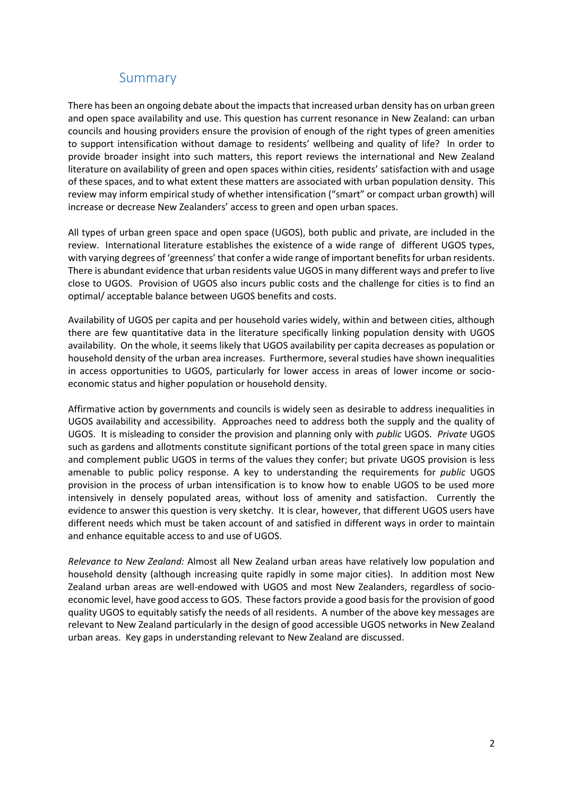## Summary

<span id="page-3-0"></span>There has been an ongoing debate about the impacts that increased urban density has on urban green and open space availability and use. This question has current resonance in New Zealand: can urban councils and housing providers ensure the provision of enough of the right types of green amenities to support intensification without damage to residents' wellbeing and quality of life? In order to provide broader insight into such matters, this report reviews the international and New Zealand literature on availability of green and open spaces within cities, residents' satisfaction with and usage of these spaces, and to what extent these matters are associated with urban population density. This review may inform empirical study of whether intensification ("smart" or compact urban growth) will increase or decrease New Zealanders' access to green and open urban spaces.

All types of urban green space and open space (UGOS), both public and private, are included in the review. International literature establishes the existence of a wide range of different UGOS types, with varying degrees of 'greenness' that confer a wide range of important benefits for urban residents. There is abundant evidence that urban residents value UGOS in many different ways and prefer to live close to UGOS. Provision of UGOS also incurs public costs and the challenge for cities is to find an optimal/ acceptable balance between UGOS benefits and costs.

Availability of UGOS per capita and per household varies widely, within and between cities, although there are few quantitative data in the literature specifically linking population density with UGOS availability. On the whole, it seems likely that UGOS availability per capita decreases as population or household density of the urban area increases. Furthermore, several studies have shown inequalities in access opportunities to UGOS, particularly for lower access in areas of lower income or socioeconomic status and higher population or household density.

Affirmative action by governments and councils is widely seen as desirable to address inequalities in UGOS availability and accessibility. Approaches need to address both the supply and the quality of UGOS. It is misleading to consider the provision and planning only with *public* UGOS. *Private* UGOS such as gardens and allotments constitute significant portions of the total green space in many cities and complement public UGOS in terms of the values they confer; but private UGOS provision is less amenable to public policy response. A key to understanding the requirements for *public* UGOS provision in the process of urban intensification is to know how to enable UGOS to be used more intensively in densely populated areas, without loss of amenity and satisfaction. Currently the evidence to answer this question is very sketchy. It is clear, however, that different UGOS users have different needs which must be taken account of and satisfied in different ways in order to maintain and enhance equitable access to and use of UGOS.

*Relevance to New Zealand:* Almost all New Zealand urban areas have relatively low population and household density (although increasing quite rapidly in some major cities). In addition most New Zealand urban areas are well-endowed with UGOS and most New Zealanders, regardless of socioeconomic level, have good access to GOS. These factors provide a good basis for the provision of good quality UGOS to equitably satisfy the needs of all residents. A number of the above key messages are relevant to New Zealand particularly in the design of good accessible UGOS networks in New Zealand urban areas. Key gaps in understanding relevant to New Zealand are discussed.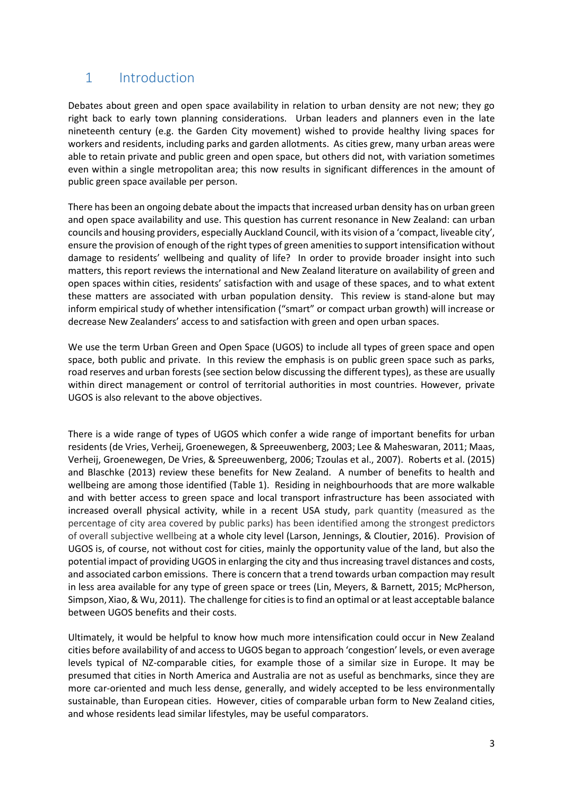# <span id="page-4-0"></span>1 Introduction

Debates about green and open space availability in relation to urban density are not new; they go right back to early town planning considerations. Urban leaders and planners even in the late nineteenth century (e.g. the Garden City movement) wished to provide healthy living spaces for workers and residents, including parks and garden allotments. As cities grew, many urban areas were able to retain private and public green and open space, but others did not, with variation sometimes even within a single metropolitan area; this now results in significant differences in the amount of public green space available per person.

There has been an ongoing debate about the impacts that increased urban density has on urban green and open space availability and use. This question has current resonance in New Zealand: can urban councils and housing providers, especially Auckland Council, with its vision of a 'compact, liveable city', ensure the provision of enough of the right types of green amenities to support intensification without damage to residents' wellbeing and quality of life? In order to provide broader insight into such matters, this report reviews the international and New Zealand literature on availability of green and open spaces within cities, residents' satisfaction with and usage of these spaces, and to what extent these matters are associated with urban population density. This review is stand-alone but may inform empirical study of whether intensification ("smart" or compact urban growth) will increase or decrease New Zealanders' access to and satisfaction with green and open urban spaces.

We use the term Urban Green and Open Space (UGOS) to include all types of green space and open space, both public and private. In this review the emphasis is on public green space such as parks, road reserves and urban forests (see section below discussing the different types), as these are usually within direct management or control of territorial authorities in most countries. However, private UGOS is also relevant to the above objectives.

There is a wide range of types of UGOS which confer a wide range of important benefits for urban residents (de Vries, Verheij, Groenewegen, & Spreeuwenberg, 2003; Lee & Maheswaran, 2011; Maas, Verheij, Groenewegen, De Vries, & Spreeuwenberg, 2006; Tzoulas et al., 2007). Roberts et al. (2015) and Blaschke (2013) review these benefits for New Zealand. A number of benefits to health and wellbeing are among those identified (Table 1). Residing in neighbourhoods that are more walkable and with better access to green space and local transport infrastructure has been associated with increased overall physical activity, while in a recent USA study, park quantity (measured as the percentage of city area covered by public parks) has been identified among the strongest predictors of overall subjective wellbeing at a whole city level (Larson, Jennings, & Cloutier, 2016). Provision of UGOS is, of course, not without cost for cities, mainly the opportunity value of the land, but also the potential impact of providing UGOS in enlarging the city and thus increasing travel distances and costs, and associated carbon emissions. There is concern that a trend towards urban compaction may result in less area available for any type of green space or trees (Lin, Meyers, & Barnett, 2015; McPherson, Simpson, Xiao, & Wu, 2011). The challenge for cities is to find an optimal or at least acceptable balance between UGOS benefits and their costs.

Ultimately, it would be helpful to know how much more intensification could occur in New Zealand cities before availability of and access to UGOS began to approach 'congestion' levels, or even average levels typical of NZ-comparable cities, for example those of a similar size in Europe. It may be presumed that cities in North America and Australia are not as useful as benchmarks, since they are more car-oriented and much less dense, generally, and widely accepted to be less environmentally sustainable, than European cities. However, cities of comparable urban form to New Zealand cities, and whose residents lead similar lifestyles, may be useful comparators.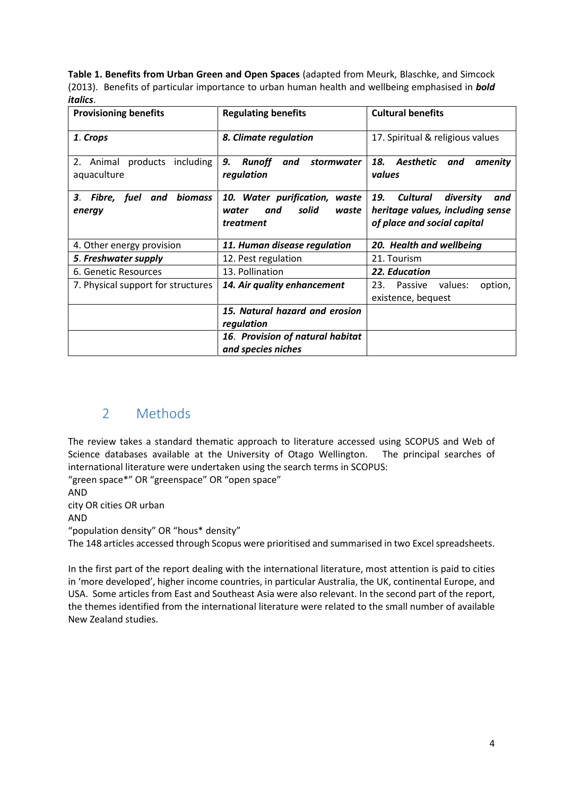**Table 1. Benefits from Urban Green and Open Spaces** (adapted from Meurk, Blaschke, and Simcock (2013). Benefits of particular importance to urban human health and wellbeing emphasised in *bold italics*.

| <b>Provisioning benefits</b>                         | <b>Regulating benefits</b>                                                      | <b>Cultural benefits</b>                                                                                      |
|------------------------------------------------------|---------------------------------------------------------------------------------|---------------------------------------------------------------------------------------------------------------|
| 1. Crops                                             | 8. Climate regulation                                                           | 17. Spiritual & religious values                                                                              |
| products<br>2.<br>including<br>Animal<br>aquaculture | <i>stormwater</i><br>9.<br>Runoff<br>and<br>regulation                          | 18.<br>Aesthetic<br>amenity<br>and<br>values                                                                  |
| biomass<br>Fibre, fuel<br>З.<br>and<br>energy        | 10. Water purification,<br>waste<br>solid<br>waste<br>water<br>and<br>treatment | diversity<br>19.<br><b>Cultural</b><br>and<br>heritage values, including sense<br>of place and social capital |
| 4. Other energy provision                            | 11. Human disease regulation                                                    | 20. Health and wellbeing                                                                                      |
| 5. Freshwater supply                                 | 12. Pest regulation                                                             | 21. Tourism                                                                                                   |
| 6. Genetic Resources                                 | 13. Pollination                                                                 | 22. Education                                                                                                 |
| 7. Physical support for structures                   | 14. Air quality enhancement                                                     | 23.<br>Passive<br>values:<br>option,<br>existence, bequest                                                    |
|                                                      | 15. Natural hazard and erosion<br>regulation                                    |                                                                                                               |
|                                                      | 16. Provision of natural habitat<br>and species niches                          |                                                                                                               |

# <span id="page-5-0"></span>2 Methods

The review takes a standard thematic approach to literature accessed using SCOPUS and Web of Science databases available at the University of Otago Wellington. The principal searches of international literature were undertaken using the search terms in SCOPUS:

"green space\*" OR "greenspace" OR "open space"

AND

city OR cities OR urban

AND

"population density" OR "hous\* density"

The 148 articles accessed through Scopus were prioritised and summarised in two Excel spreadsheets.

In the first part of the report dealing with the international literature, most attention is paid to cities in 'more developed', higher income countries, in particular Australia, the UK, continental Europe, and USA. Some articles from East and Southeast Asia were also relevant. In the second part of the report, the themes identified from the international literature were related to the small number of available New Zealand studies.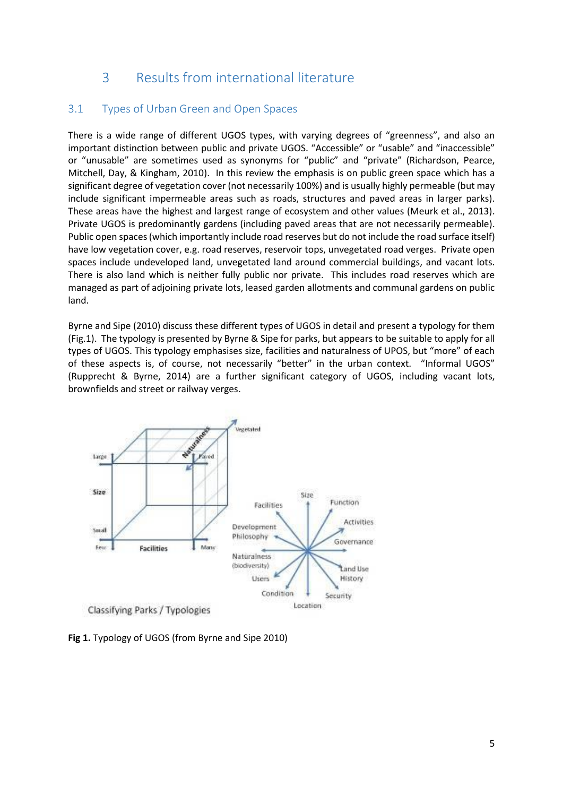# 3 Results from international literature

## <span id="page-6-1"></span><span id="page-6-0"></span>3.1 Types of Urban Green and Open Spaces

There is a wide range of different UGOS types, with varying degrees of "greenness", and also an important distinction between public and private UGOS. "Accessible" or "usable" and "inaccessible" or "unusable" are sometimes used as synonyms for "public" and "private" (Richardson, Pearce, Mitchell, Day, & Kingham, 2010). In this review the emphasis is on public green space which has a significant degree of vegetation cover (not necessarily 100%) and is usually highly permeable (but may include significant impermeable areas such as roads, structures and paved areas in larger parks). These areas have the highest and largest range of ecosystem and other values (Meurk et al., 2013). Private UGOS is predominantly gardens (including paved areas that are not necessarily permeable). Public open spaces (which importantly include road reserves but do not include the road surface itself) have low vegetation cover, e.g. road reserves, reservoir tops, unvegetated road verges. Private open spaces include undeveloped land, unvegetated land around commercial buildings, and vacant lots. There is also land which is neither fully public nor private. This includes road reserves which are managed as part of adjoining private lots, leased garden allotments and communal gardens on public land.

Byrne and Sipe (2010) discuss these different types of UGOS in detail and present a typology for them (Fig.1). The typology is presented by Byrne & Sipe for parks, but appears to be suitable to apply for all types of UGOS. This typology emphasises size, facilities and naturalness of UPOS, but "more" of each of these aspects is, of course, not necessarily "better" in the urban context. "Informal UGOS" (Rupprecht & Byrne, 2014) are a further significant category of UGOS, including vacant lots, brownfields and street or railway verges.



**Fig 1.** Typology of UGOS (from Byrne and Sipe 2010)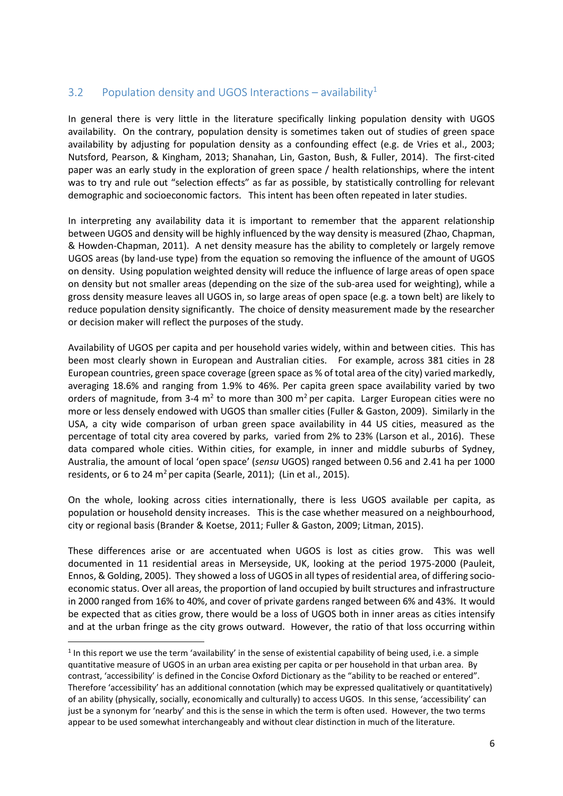## <span id="page-7-0"></span>3.2 Population density and UGOS Interactions – availability<sup>1</sup>

In general there is very little in the literature specifically linking population density with UGOS availability. On the contrary, population density is sometimes taken out of studies of green space availability by adjusting for population density as a confounding effect (e.g. de Vries et al., 2003; Nutsford, Pearson, & Kingham, 2013; Shanahan, Lin, Gaston, Bush, & Fuller, 2014). The first-cited paper was an early study in the exploration of green space / health relationships, where the intent was to try and rule out "selection effects" as far as possible, by statistically controlling for relevant demographic and socioeconomic factors. This intent has been often repeated in later studies.

In interpreting any availability data it is important to remember that the apparent relationship between UGOS and density will be highly influenced by the way density is measured (Zhao, Chapman, & Howden-Chapman, 2011). A net density measure has the ability to completely or largely remove UGOS areas (by land-use type) from the equation so removing the influence of the amount of UGOS on density. Using population weighted density will reduce the influence of large areas of open space on density but not smaller areas (depending on the size of the sub-area used for weighting), while a gross density measure leaves all UGOS in, so large areas of open space (e.g. a town belt) are likely to reduce population density significantly. The choice of density measurement made by the researcher or decision maker will reflect the purposes of the study.

Availability of UGOS per capita and per household varies widely, within and between cities. This has been most clearly shown in European and Australian cities. For example, across 381 cities in 28 European countries, green space coverage (green space as % of total area of the city) varied markedly, averaging 18.6% and ranging from 1.9% to 46%. Per capita green space availability varied by two orders of magnitude, from 3-4  $m^2$  to more than 300  $m^2$  per capita. Larger European cities were no more or less densely endowed with UGOS than smaller cities (Fuller & Gaston, 2009). Similarly in the USA, a city wide comparison of urban green space availability in 44 US cities, measured as the percentage of total city area covered by parks, varied from 2% to 23% (Larson et al., 2016). These data compared whole cities. Within cities, for example, in inner and middle suburbs of Sydney, Australia, the amount of local 'open space' (*sensu* UGOS) ranged between 0.56 and 2.41 ha per 1000 residents, or 6 to 24  $m^2$  per capita (Searle, 2011); (Lin et al., 2015).

On the whole, looking across cities internationally, there is less UGOS available per capita, as population or household density increases. This is the case whether measured on a neighbourhood, city or regional basis (Brander & Koetse, 2011; Fuller & Gaston, 2009; Litman, 2015).

These differences arise or are accentuated when UGOS is lost as cities grow. This was well documented in 11 residential areas in Merseyside, UK, looking at the period 1975-2000 (Pauleit, Ennos, & Golding, 2005). They showed a loss of UGOS in all types of residential area, of differing socioeconomic status. Over all areas, the proportion of land occupied by built structures and infrastructure in 2000 ranged from 16% to 40%, and cover of private gardens ranged between 6% and 43%. It would be expected that as cities grow, there would be a loss of UGOS both in inner areas as cities intensify and at the urban fringe as the city grows outward. However, the ratio of that loss occurring within

 $\overline{a}$ 

 $1$  In this report we use the term 'availability' in the sense of existential capability of being used, i.e. a simple quantitative measure of UGOS in an urban area existing per capita or per household in that urban area. By contrast, 'accessibility' is defined in the Concise Oxford Dictionary as the "ability to be reached or entered". Therefore 'accessibility' has an additional connotation (which may be expressed qualitatively or quantitatively) of an ability (physically, socially, economically and culturally) to access UGOS. In this sense, 'accessibility' can just be a synonym for 'nearby' and this is the sense in which the term is often used. However, the two terms appear to be used somewhat interchangeably and without clear distinction in much of the literature.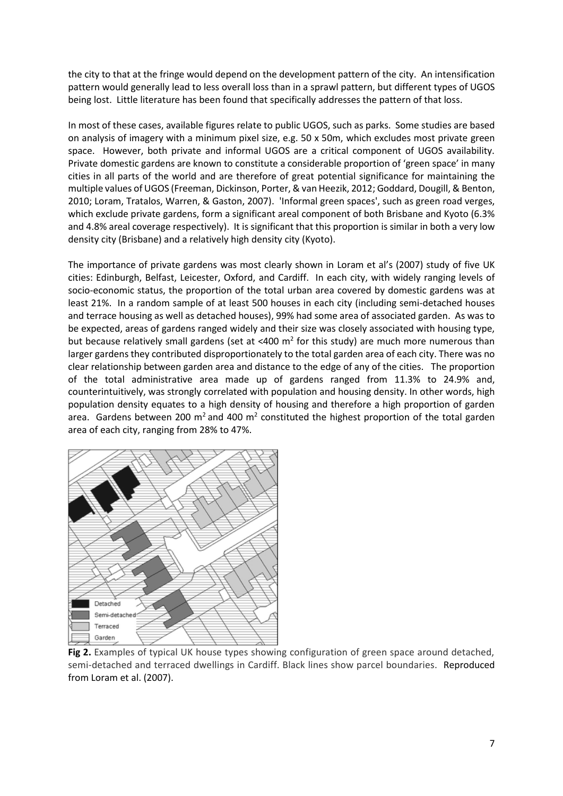the city to that at the fringe would depend on the development pattern of the city. An intensification pattern would generally lead to less overall loss than in a sprawl pattern, but different types of UGOS being lost. Little literature has been found that specifically addresses the pattern of that loss.

In most of these cases, available figures relate to public UGOS, such as parks. Some studies are based on analysis of imagery with a minimum pixel size, e.g. 50 x 50m, which excludes most private green space. However, both private and informal UGOS are a critical component of UGOS availability. Private domestic gardens are known to constitute a considerable proportion of 'green space' in many cities in all parts of the world and are therefore of great potential significance for maintaining the multiple values of UGOS (Freeman, Dickinson, Porter, & van Heezik, 2012; Goddard, Dougill, & Benton, 2010; Loram, Tratalos, Warren, & Gaston, 2007). 'Informal green spaces', such as green road verges, which exclude private gardens, form a significant areal component of both Brisbane and Kyoto (6.3% and 4.8% areal coverage respectively). It is significant that this proportion is similar in both a very low density city (Brisbane) and a relatively high density city (Kyoto).

The importance of private gardens was most clearly shown in Loram et al's (2007) study of five UK cities: Edinburgh, Belfast, Leicester, Oxford, and Cardiff. In each city, with widely ranging levels of socio-economic status, the proportion of the total urban area covered by domestic gardens was at least 21%. In a random sample of at least 500 houses in each city (including semi-detached houses and terrace housing as well as detached houses), 99% had some area of associated garden. As was to be expected, areas of gardens ranged widely and their size was closely associated with housing type, but because relatively small gardens (set at <400  $m^2$  for this study) are much more numerous than larger gardens they contributed disproportionately to the total garden area of each city. There was no clear relationship between garden area and distance to the edge of any of the cities. The proportion of the total administrative area made up of gardens ranged from 11.3% to 24.9% and, counterintuitively, was strongly correlated with population and housing density. In other words, high population density equates to a high density of housing and therefore a high proportion of garden area. Gardens between 200  $m^2$  and 400  $m^2$  constituted the highest proportion of the total garden area of each city, ranging from 28% to 47%.



**Fig 2.** Examples of typical UK house types showing configuration of green space around detached, semi-detached and terraced dwellings in Cardiff. Black lines show parcel boundaries. Reproduced from Loram et al. (2007).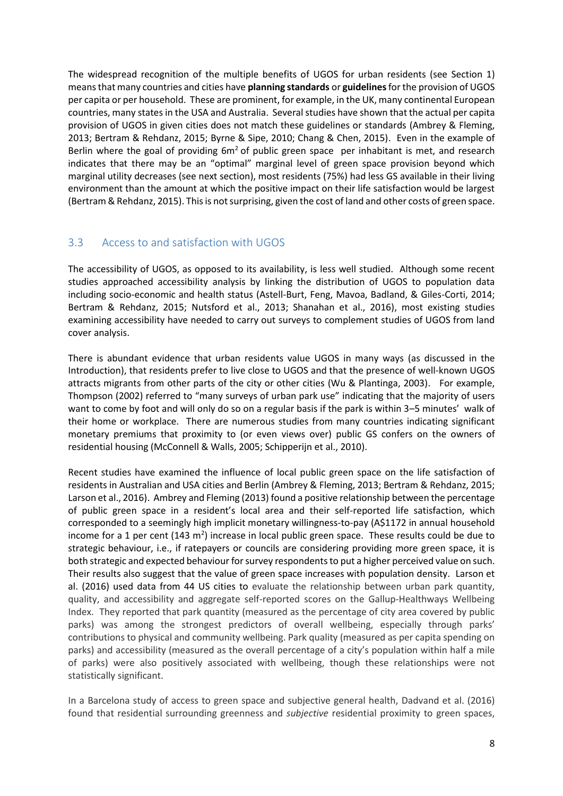The widespread recognition of the multiple benefits of UGOS for urban residents (see Section 1) means that many countries and cities have **planning standards** or **guidelines**for the provision of UGOS per capita or per household. These are prominent, for example, in the UK, many continental European countries, many states in the USA and Australia. Several studies have shown that the actual per capita provision of UGOS in given cities does not match these guidelines or standards (Ambrey & Fleming, 2013; Bertram & Rehdanz, 2015; Byrne & Sipe, 2010; Chang & Chen, 2015). Even in the example of Berlin where the goal of providing  $6m<sup>2</sup>$  of public green space per inhabitant is met, and research indicates that there may be an "optimal" marginal level of green space provision beyond which marginal utility decreases (see next section), most residents (75%) had less GS available in their living environment than the amount at which the positive impact on their life satisfaction would be largest (Bertram & Rehdanz, 2015). This is not surprising, given the cost of land and other costs of green space.

## <span id="page-9-0"></span>3.3 Access to and satisfaction with UGOS

The accessibility of UGOS, as opposed to its availability, is less well studied. Although some recent studies approached accessibility analysis by linking the distribution of UGOS to population data including socio-economic and health status (Astell-Burt, Feng, Mavoa, Badland, & Giles-Corti, 2014; Bertram & Rehdanz, 2015; Nutsford et al., 2013; Shanahan et al., 2016), most existing studies examining accessibility have needed to carry out surveys to complement studies of UGOS from land cover analysis.

There is abundant evidence that urban residents value UGOS in many ways (as discussed in the Introduction), that residents prefer to live close to UGOS and that the presence of well-known UGOS attracts migrants from other parts of the city or other cities (Wu & Plantinga, 2003). For example, Thompson (2002) referred to "many surveys of urban park use" indicating that the majority of users want to come by foot and will only do so on a regular basis if the park is within 3–5 minutes' walk of their home or workplace. There are numerous studies from many countries indicating significant monetary premiums that proximity to (or even views over) public GS confers on the owners of residential housing (McConnell & Walls, 2005; Schipperijn et al., 2010).

Recent studies have examined the influence of local public green space on the life satisfaction of residents in Australian and USA cities and Berlin (Ambrey & Fleming, 2013; Bertram & Rehdanz, 2015; Larson et al., 2016). Ambrey and Fleming (2013) found a positive relationship between the percentage of public green space in a resident's local area and their self-reported life satisfaction, which corresponded to a seemingly high implicit monetary willingness-to-pay (A\$1172 in annual household income for a 1 per cent (143 m<sup>2</sup>) increase in local public green space. These results could be due to strategic behaviour, i.e., if ratepayers or councils are considering providing more green space, it is both strategic and expected behaviour for survey respondents to put a higher perceived value on such. Their results also suggest that the value of green space increases with population density. Larson et al. (2016) used data from 44 US cities to evaluate the relationship between urban park quantity, quality, and accessibility and aggregate self-reported scores on the Gallup-Healthways Wellbeing Index. They reported that park quantity (measured as the percentage of city area covered by public parks) was among the strongest predictors of overall wellbeing, especially through parks' contributions to physical and community wellbeing. Park quality (measured as per capita spending on parks) and accessibility (measured as the overall percentage of a city's population within half a mile of parks) were also positively associated with wellbeing, though these relationships were not statistically significant.

In a Barcelona study of access to green space and subjective general health, Dadvand et al. (2016) found that residential surrounding greenness and *subjective* residential proximity to green spaces,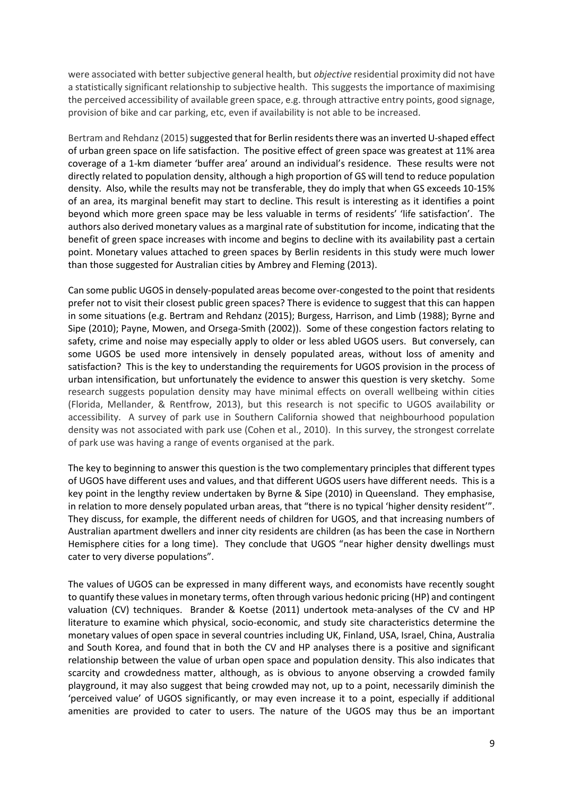were associated with better subjective general health, but *objective* residential proximity did not have a statistically significant relationship to subjective health. This suggests the importance of maximising the perceived accessibility of available green space, e.g. through attractive entry points, good signage, provision of bike and car parking, etc, even if availability is not able to be increased.

Bertram and Rehdanz (2015) suggested that for Berlin residents there was an inverted U-shaped effect of urban green space on life satisfaction. The positive effect of green space was greatest at 11% area coverage of a 1-km diameter 'buffer area' around an individual's residence. These results were not directly related to population density, although a high proportion of GS will tend to reduce population density. Also, while the results may not be transferable, they do imply that when GS exceeds 10-15% of an area, its marginal benefit may start to decline. This result is interesting as it identifies a point beyond which more green space may be less valuable in terms of residents' 'life satisfaction'. The authors also derived monetary values as a marginal rate of substitution for income, indicating that the benefit of green space increases with income and begins to decline with its availability past a certain point. Monetary values attached to green spaces by Berlin residents in this study were much lower than those suggested for Australian cities by Ambrey and Fleming (2013).

Can some public UGOS in densely-populated areas become over-congested to the point that residents prefer not to visit their closest public green spaces? There is evidence to suggest that this can happen in some situations (e.g. Bertram and Rehdanz (2015); Burgess, Harrison, and Limb (1988); Byrne and Sipe (2010); Payne, Mowen, and Orsega-Smith (2002)). Some of these congestion factors relating to safety, crime and noise may especially apply to older or less abled UGOS users. But conversely, can some UGOS be used more intensively in densely populated areas, without loss of amenity and satisfaction? This is the key to understanding the requirements for UGOS provision in the process of urban intensification, but unfortunately the evidence to answer this question is very sketchy. Some research suggests population density may have minimal effects on overall wellbeing within cities (Florida, Mellander, & Rentfrow, 2013), but this research is not specific to UGOS availability or accessibility. A survey of park use in Southern California showed that neighbourhood population density was not associated with park use (Cohen et al., 2010). In this survey, the strongest correlate of park use was having a range of events organised at the park.

The key to beginning to answer this question is the two complementary principles that different types of UGOS have different uses and values, and that different UGOS users have different needs. This is a key point in the lengthy review undertaken by Byrne & Sipe (2010) in Queensland. They emphasise, in relation to more densely populated urban areas, that "there is no typical 'higher density resident'". They discuss, for example, the different needs of children for UGOS, and that increasing numbers of Australian apartment dwellers and inner city residents are children (as has been the case in Northern Hemisphere cities for a long time). They conclude that UGOS "near higher density dwellings must cater to very diverse populations".

The values of UGOS can be expressed in many different ways, and economists have recently sought to quantify these values in monetary terms, often through various hedonic pricing (HP) and contingent valuation (CV) techniques. Brander & Koetse (2011) undertook meta-analyses of the CV and HP literature to examine which physical, socio-economic, and study site characteristics determine the monetary values of open space in several countries including UK, Finland, USA, Israel, China, Australia and South Korea, and found that in both the CV and HP analyses there is a positive and significant relationship between the value of urban open space and population density. This also indicates that scarcity and crowdedness matter, although, as is obvious to anyone observing a crowded family playground, it may also suggest that being crowded may not, up to a point, necessarily diminish the 'perceived value' of UGOS significantly, or may even increase it to a point, especially if additional amenities are provided to cater to users. The nature of the UGOS may thus be an important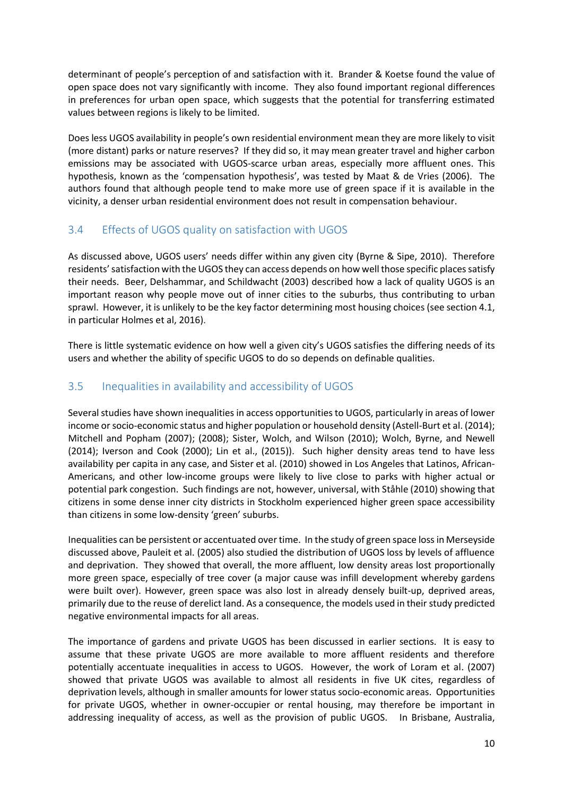determinant of people's perception of and satisfaction with it. Brander & Koetse found the value of open space does not vary significantly with income. They also found important regional differences in preferences for urban open space, which suggests that the potential for transferring estimated values between regions is likely to be limited.

Does less UGOS availability in people's own residential environment mean they are more likely to visit (more distant) parks or nature reserves? If they did so, it may mean greater travel and higher carbon emissions may be associated with UGOS-scarce urban areas, especially more affluent ones. This hypothesis, known as the 'compensation hypothesis', was tested by Maat & de Vries (2006). The authors found that although people tend to make more use of green space if it is available in the vicinity, a denser urban residential environment does not result in compensation behaviour.

## <span id="page-11-0"></span>3.4 Effects of UGOS quality on satisfaction with UGOS

As discussed above, UGOS users' needs differ within any given city (Byrne & Sipe, 2010). Therefore residents' satisfaction with the UGOS they can access depends on how well those specific places satisfy their needs. Beer, Delshammar, and Schildwacht (2003) described how a lack of quality UGOS is an important reason why people move out of inner cities to the suburbs, thus contributing to urban sprawl. However, it is unlikely to be the key factor determining most housing choices (see section 4.1, in particular Holmes et al, 2016).

There is little systematic evidence on how well a given city's UGOS satisfies the differing needs of its users and whether the ability of specific UGOS to do so depends on definable qualities.

## <span id="page-11-1"></span>3.5 Inequalities in availability and accessibility of UGOS

Several studies have shown inequalities in access opportunities to UGOS, particularly in areas of lower income or socio-economic status and higher population or household density (Astell-Burt et al. (2014); Mitchell and Popham (2007); (2008); Sister, Wolch, and Wilson (2010); Wolch, Byrne, and Newell (2014); Iverson and Cook (2000); Lin et al., (2015)). Such higher density areas tend to have less availability per capita in any case, and Sister et al. (2010) showed in Los Angeles that Latinos, African-Americans, and other low-income groups were likely to live close to parks with higher actual or potential park congestion. Such findings are not, however, universal, with Ståhle (2010) showing that citizens in some dense inner city districts in Stockholm experienced higher green space accessibility than citizens in some low-density 'green' suburbs.

Inequalities can be persistent or accentuated over time. In the study of green space loss in Merseyside discussed above, Pauleit et al. (2005) also studied the distribution of UGOS loss by levels of affluence and deprivation. They showed that overall, the more affluent, low density areas lost proportionally more green space, especially of tree cover (a major cause was infill development whereby gardens were built over). However, green space was also lost in already densely built-up, deprived areas, primarily due to the reuse of derelict land. As a consequence, the models used in their study predicted negative environmental impacts for all areas.

The importance of gardens and private UGOS has been discussed in earlier sections. It is easy to assume that these private UGOS are more available to more affluent residents and therefore potentially accentuate inequalities in access to UGOS. However, the work of Loram et al. (2007) showed that private UGOS was available to almost all residents in five UK cites, regardless of deprivation levels, although in smaller amounts for lower status socio-economic areas. Opportunities for private UGOS, whether in owner-occupier or rental housing, may therefore be important in addressing inequality of access, as well as the provision of public UGOS. In Brisbane, Australia,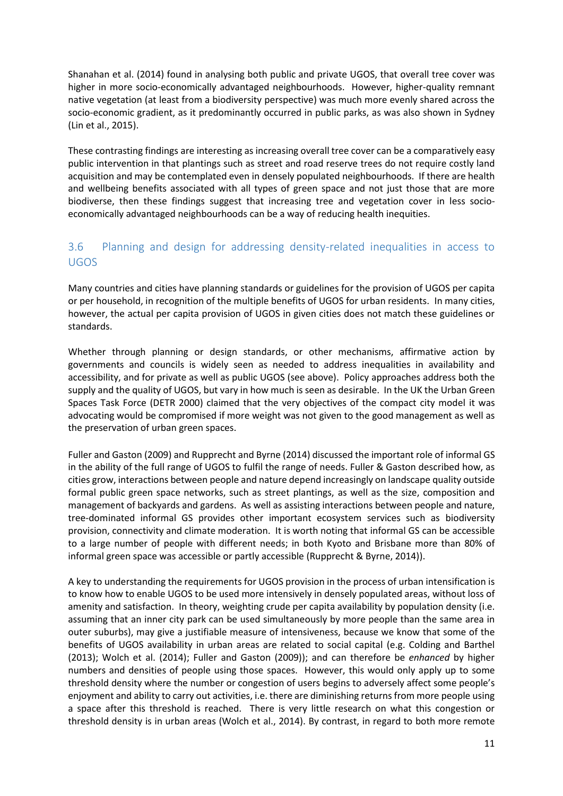Shanahan et al. (2014) found in analysing both public and private UGOS, that overall tree cover was higher in more socio-economically advantaged neighbourhoods. However, higher-quality remnant native vegetation (at least from a biodiversity perspective) was much more evenly shared across the socio-economic gradient, as it predominantly occurred in public parks, as was also shown in Sydney (Lin et al., 2015).

These contrasting findings are interesting as increasing overall tree cover can be a comparatively easy public intervention in that plantings such as street and road reserve trees do not require costly land acquisition and may be contemplated even in densely populated neighbourhoods. If there are health and wellbeing benefits associated with all types of green space and not just those that are more biodiverse, then these findings suggest that increasing tree and vegetation cover in less socioeconomically advantaged neighbourhoods can be a way of reducing health inequities.

## <span id="page-12-0"></span>3.6 Planning and design for addressing density-related inequalities in access to UGOS

Many countries and cities have planning standards or guidelines for the provision of UGOS per capita or per household, in recognition of the multiple benefits of UGOS for urban residents. In many cities, however, the actual per capita provision of UGOS in given cities does not match these guidelines or standards.

Whether through planning or design standards, or other mechanisms, affirmative action by governments and councils is widely seen as needed to address inequalities in availability and accessibility, and for private as well as public UGOS (see above). Policy approaches address both the supply and the quality of UGOS, but vary in how much is seen as desirable. In the UK the Urban Green Spaces Task Force (DETR 2000) claimed that the very objectives of the compact city model it was advocating would be compromised if more weight was not given to the good management as well as the preservation of urban green spaces.

Fuller and Gaston (2009) and Rupprecht and Byrne (2014) discussed the important role of informal GS in the ability of the full range of UGOS to fulfil the range of needs. Fuller & Gaston described how, as cities grow, interactions between people and nature depend increasingly on landscape quality outside formal public green space networks, such as street plantings, as well as the size, composition and management of backyards and gardens. As well as assisting interactions between people and nature, tree-dominated informal GS provides other important ecosystem services such as biodiversity provision, connectivity and climate moderation. It is worth noting that informal GS can be accessible to a large number of people with different needs; in both Kyoto and Brisbane more than 80% of informal green space was accessible or partly accessible (Rupprecht & Byrne, 2014)).

A key to understanding the requirements for UGOS provision in the process of urban intensification is to know how to enable UGOS to be used more intensively in densely populated areas, without loss of amenity and satisfaction. In theory, weighting crude per capita availability by population density (i.e. assuming that an inner city park can be used simultaneously by more people than the same area in outer suburbs), may give a justifiable measure of intensiveness, because we know that some of the benefits of UGOS availability in urban areas are related to social capital (e.g. Colding and Barthel (2013); Wolch et al. (2014); Fuller and Gaston (2009)); and can therefore be *enhanced* by higher numbers and densities of people using those spaces. However, this would only apply up to some threshold density where the number or congestion of users begins to adversely affect some people's enjoyment and ability to carry out activities, i.e. there are diminishing returns from more people using a space after this threshold is reached. There is very little research on what this congestion or threshold density is in urban areas (Wolch et al., 2014). By contrast, in regard to both more remote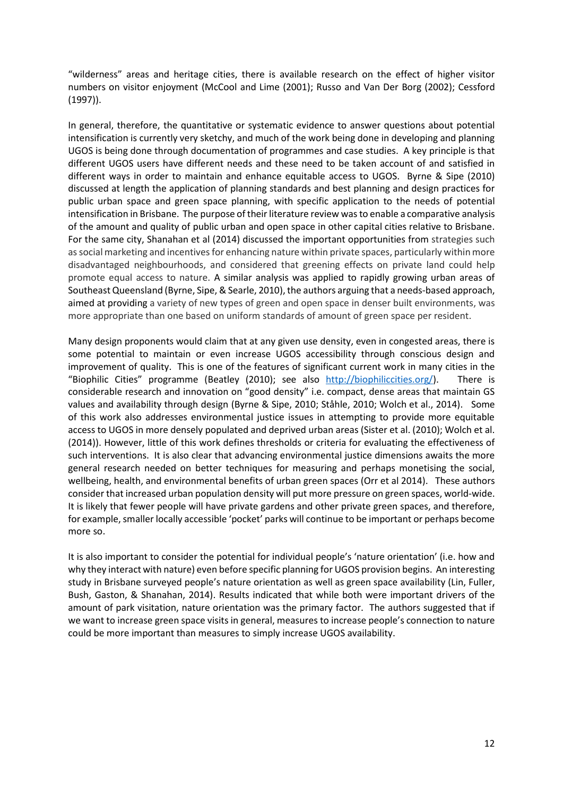"wilderness" areas and heritage cities, there is available research on the effect of higher visitor numbers on visitor enjoyment (McCool and Lime (2001); Russo and Van Der Borg (2002); Cessford (1997)).

In general, therefore, the quantitative or systematic evidence to answer questions about potential intensification is currently very sketchy, and much of the work being done in developing and planning UGOS is being done through documentation of programmes and case studies. A key principle is that different UGOS users have different needs and these need to be taken account of and satisfied in different ways in order to maintain and enhance equitable access to UGOS. Byrne & Sipe (2010) discussed at length the application of planning standards and best planning and design practices for public urban space and green space planning, with specific application to the needs of potential intensification in Brisbane. The purpose of their literature review was to enable a comparative analysis of the amount and quality of public urban and open space in other capital cities relative to Brisbane. For the same city, Shanahan et al (2014) discussed the important opportunities from strategies such as social marketing and incentives for enhancing nature within private spaces, particularly within more disadvantaged neighbourhoods, and considered that greening effects on private land could help promote equal access to nature. A similar analysis was applied to rapidly growing urban areas of Southeast Queensland (Byrne, Sipe, & Searle, 2010), the authors arguing that a needs-based approach, aimed at providing a variety of new types of green and open space in denser built environments, was more appropriate than one based on uniform standards of amount of green space per resident.

Many design proponents would claim that at any given use density, even in congested areas, there is some potential to maintain or even increase UGOS accessibility through conscious design and improvement of quality. This is one of the features of significant current work in many cities in the "Biophilic Cities" programme (Beatley (2010); see also [http://biophiliccities.org/\)](http://biophiliccities.org/). There is considerable research and innovation on "good density" i.e. compact, dense areas that maintain GS values and availability through design (Byrne & Sipe, 2010; Ståhle, 2010; Wolch et al., 2014). Some of this work also addresses environmental justice issues in attempting to provide more equitable access to UGOS in more densely populated and deprived urban areas (Sister et al. (2010); Wolch et al. (2014)). However, little of this work defines thresholds or criteria for evaluating the effectiveness of such interventions. It is also clear that advancing environmental justice dimensions awaits the more general research needed on better techniques for measuring and perhaps monetising the social, wellbeing, health, and environmental benefits of urban green spaces (Orr et al 2014). These authors consider that increased urban population density will put more pressure on green spaces, world-wide. It is likely that fewer people will have private gardens and other private green spaces, and therefore, for example, smaller locally accessible 'pocket' parks will continue to be important or perhaps become more so.

It is also important to consider the potential for individual people's 'nature orientation' (i.e. how and why they interact with nature) even before specific planning for UGOS provision begins. An interesting study in Brisbane surveyed people's nature orientation as well as green space availability (Lin, Fuller, Bush, Gaston, & Shanahan, 2014). Results indicated that while both were important drivers of the amount of park visitation, nature orientation was the primary factor. The authors suggested that if we want to increase green space visits in general, measures to increase people's connection to nature could be more important than measures to simply increase UGOS availability.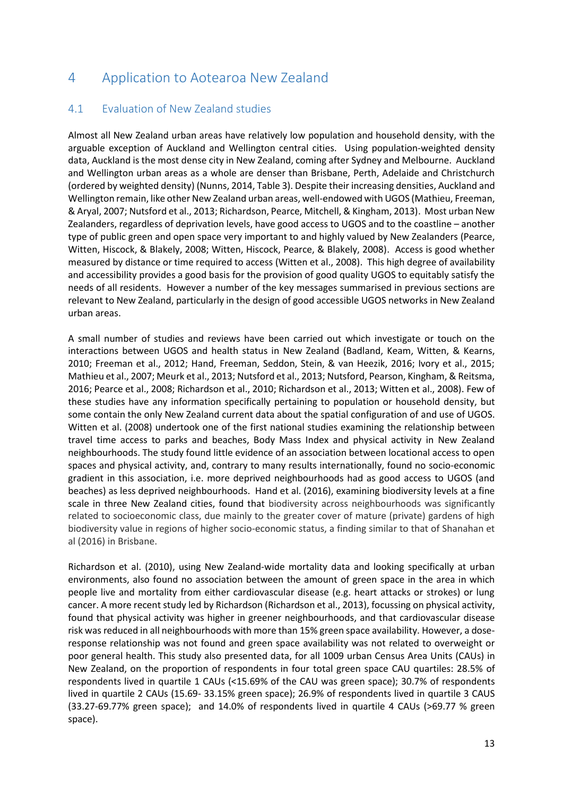# <span id="page-14-0"></span>4 Application to Aotearoa New Zealand

## <span id="page-14-1"></span>4.1 Evaluation of New Zealand studies

Almost all New Zealand urban areas have relatively low population and household density, with the arguable exception of Auckland and Wellington central cities. Using population-weighted density data, Auckland is the most dense city in New Zealand, coming after Sydney and Melbourne. Auckland and Wellington urban areas as a whole are denser than Brisbane, Perth, Adelaide and Christchurch (ordered by weighted density) (Nunns, 2014, Table 3). Despite their increasing densities, Auckland and Wellington remain, like other New Zealand urban areas, well-endowed with UGOS (Mathieu, Freeman, & Aryal, 2007; Nutsford et al., 2013; Richardson, Pearce, Mitchell, & Kingham, 2013). Most urban New Zealanders, regardless of deprivation levels, have good access to UGOS and to the coastline – another type of public green and open space very important to and highly valued by New Zealanders (Pearce, Witten, Hiscock, & Blakely, 2008; Witten, Hiscock, Pearce, & Blakely, 2008). Access is good whether measured by distance or time required to access (Witten et al., 2008). This high degree of availability and accessibility provides a good basis for the provision of good quality UGOS to equitably satisfy the needs of all residents. However a number of the key messages summarised in previous sections are relevant to New Zealand, particularly in the design of good accessible UGOS networks in New Zealand urban areas.

A small number of studies and reviews have been carried out which investigate or touch on the interactions between UGOS and health status in New Zealand (Badland, Keam, Witten, & Kearns, 2010; Freeman et al., 2012; Hand, Freeman, Seddon, Stein, & van Heezik, 2016; Ivory et al., 2015; Mathieu et al., 2007; Meurk et al., 2013; Nutsford et al., 2013; Nutsford, Pearson, Kingham, & Reitsma, 2016; Pearce et al., 2008; Richardson et al., 2010; Richardson et al., 2013; Witten et al., 2008). Few of these studies have any information specifically pertaining to population or household density, but some contain the only New Zealand current data about the spatial configuration of and use of UGOS. Witten et al. (2008) undertook one of the first national studies examining the relationship between travel time access to parks and beaches, Body Mass Index and physical activity in New Zealand neighbourhoods. The study found little evidence of an association between locational access to open spaces and physical activity, and, contrary to many results internationally, found no socio-economic gradient in this association, i.e. more deprived neighbourhoods had as good access to UGOS (and beaches) as less deprived neighbourhoods. Hand et al. (2016), examining biodiversity levels at a fine scale in three New Zealand cities, found that biodiversity across neighbourhoods was significantly related to socioeconomic class, due mainly to the greater cover of mature (private) gardens of high biodiversity value in regions of higher socio-economic status, a finding similar to that of Shanahan et al (2016) in Brisbane.

Richardson et al. (2010), using New Zealand-wide mortality data and looking specifically at urban environments, also found no association between the amount of green space in the area in which people live and mortality from either cardiovascular disease (e.g. heart attacks or strokes) or lung cancer. A more recent study led by Richardson (Richardson et al., 2013), focussing on physical activity, found that physical activity was higher in greener neighbourhoods, and that cardiovascular disease risk was reduced in all neighbourhoods with more than 15% green space availability. However, a doseresponse relationship was not found and green space availability was not related to overweight or poor general health. This study also presented data, for all 1009 urban Census Area Units (CAUs) in New Zealand, on the proportion of respondents in four total green space CAU quartiles: 28.5% of respondents lived in quartile 1 CAUs (<15.69% of the CAU was green space); 30.7% of respondents lived in quartile 2 CAUs (15.69- 33.15% green space); 26.9% of respondents lived in quartile 3 CAUS (33.27-69.77% green space); and 14.0% of respondents lived in quartile 4 CAUs (>69.77 % green space).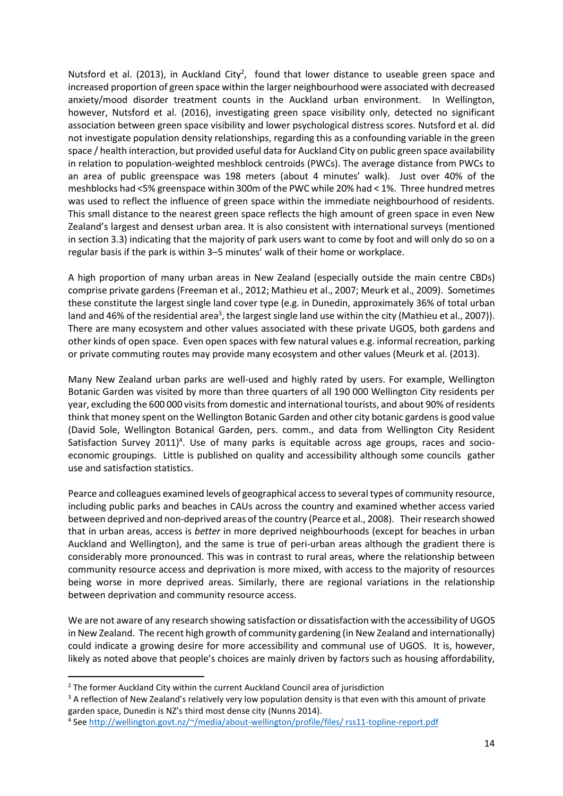Nutsford et al. (2013), in Auckland City<sup>2</sup>, found that lower distance to useable green space and increased proportion of green space within the larger neighbourhood were associated with decreased anxiety/mood disorder treatment counts in the Auckland urban environment. In Wellington, however, Nutsford et al. (2016), investigating green space visibility only, detected no significant association between green space visibility and lower psychological distress scores. Nutsford et al. did not investigate population density relationships, regarding this as a confounding variable in the green space / health interaction, but provided useful data for Auckland City on public green space availability in relation to population-weighted meshblock centroids (PWCs). The average distance from PWCs to an area of public greenspace was 198 meters (about 4 minutes' walk). Just over 40% of the meshblocks had <5% greenspace within 300m of the PWC while 20% had < 1%. Three hundred metres was used to reflect the influence of green space within the immediate neighbourhood of residents. This small distance to the nearest green space reflects the high amount of green space in even New Zealand's largest and densest urban area. It is also consistent with international surveys (mentioned in section 3.3) indicating that the majority of park users want to come by foot and will only do so on a regular basis if the park is within 3–5 minutes' walk of their home or workplace.

A high proportion of many urban areas in New Zealand (especially outside the main centre CBDs) comprise private gardens (Freeman et al., 2012; Mathieu et al., 2007; Meurk et al., 2009). Sometimes these constitute the largest single land cover type (e.g. in Dunedin, approximately 36% of total urban land and 46% of the residential area<sup>3</sup>, the largest single land use within the city (Mathieu et al., 2007)). There are many ecosystem and other values associated with these private UGOS, both gardens and other kinds of open space. Even open spaces with few natural values e.g. informal recreation, parking or private commuting routes may provide many ecosystem and other values (Meurk et al. (2013).

Many New Zealand urban parks are well-used and highly rated by users. For example, Wellington Botanic Garden was visited by more than three quarters of all 190 000 Wellington City residents per year, excluding the 600 000 visits from domestic and international tourists, and about 90% of residents think that money spent on the Wellington Botanic Garden and other city botanic gardens is good value (David Sole, Wellington Botanical Garden, pers. comm., and data from Wellington City Resident Satisfaction Survey 2011)<sup>4</sup>. Use of many parks is equitable across age groups, races and socioeconomic groupings. Little is published on quality and accessibility although some councils gather use and satisfaction statistics.

Pearce and colleagues examined levels of geographical access to several types of community resource, including public parks and beaches in CAUs across the country and examined whether access varied between deprived and non-deprived areas of the country (Pearce et al., 2008). Their research showed that in urban areas, access is *better* in more deprived neighbourhoods (except for beaches in urban Auckland and Wellington), and the same is true of peri-urban areas although the gradient there is considerably more pronounced. This was in contrast to rural areas, where the relationship between community resource access and deprivation is more mixed, with access to the majority of resources being worse in more deprived areas. Similarly, there are regional variations in the relationship between deprivation and community resource access.

We are not aware of any research showing satisfaction or dissatisfaction with the accessibility of UGOS in New Zealand. The recent high growth of community gardening (in New Zealand and internationally) could indicate a growing desire for more accessibility and communal use of UGOS. It is, however, likely as noted above that people's choices are mainly driven by factors such as housing affordability,

**.** 

<sup>&</sup>lt;sup>2</sup> The former Auckland City within the current Auckland Council area of jurisdiction

<sup>&</sup>lt;sup>3</sup> A reflection of New Zealand's relatively very low population density is that even with this amount of private garden space, Dunedin is NZ's third most dense city (Nunns 2014).

<sup>4</sup> See [http://wellington.govt.nz/~/media/about-wellington/profile/files/ rss11-topline-report.pdf](http://wellington.govt.nz/~/media/about-wellington/profile/files/%20rss11-topline-report.pdf)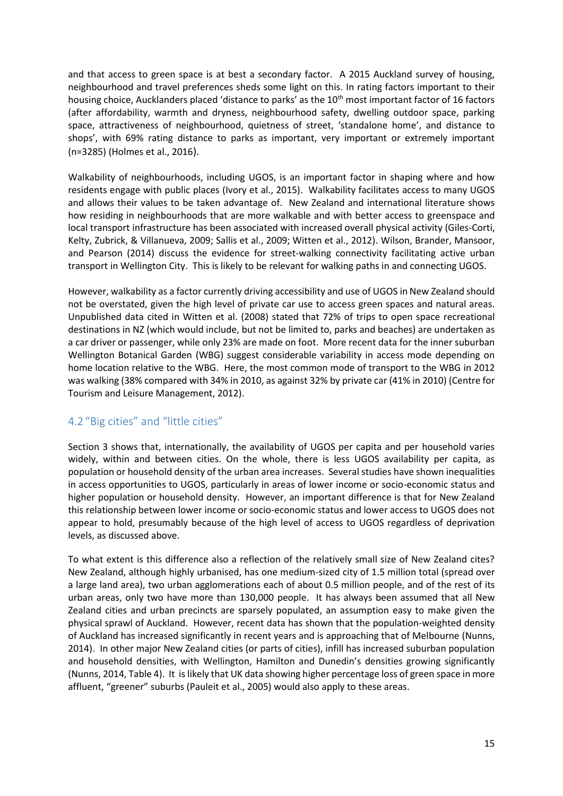and that access to green space is at best a secondary factor. A 2015 Auckland survey of housing, neighbourhood and travel preferences sheds some light on this. In rating factors important to their housing choice, Aucklanders placed 'distance to parks' as the 10<sup>th</sup> most important factor of 16 factors (after affordability, warmth and dryness, neighbourhood safety, dwelling outdoor space, parking space, attractiveness of neighbourhood, quietness of street, 'standalone home', and distance to shops', with 69% rating distance to parks as important, very important or extremely important (n=3285) (Holmes et al., 2016).

Walkability of neighbourhoods, including UGOS, is an important factor in shaping where and how residents engage with public places (Ivory et al., 2015). Walkability facilitates access to many UGOS and allows their values to be taken advantage of. New Zealand and international literature shows how residing in neighbourhoods that are more walkable and with better access to greenspace and local transport infrastructure has been associated with increased overall physical activity (Giles-Corti, Kelty, Zubrick, & Villanueva, 2009; Sallis et al., 2009; Witten et al., 2012). Wilson, Brander, Mansoor, and Pearson (2014) discuss the evidence for street-walking connectivity facilitating active urban transport in Wellington City. This is likely to be relevant for walking paths in and connecting UGOS.

However, walkability as a factor currently driving accessibility and use of UGOS in New Zealand should not be overstated, given the high level of private car use to access green spaces and natural areas. Unpublished data cited in Witten et al. (2008) stated that 72% of trips to open space recreational destinations in NZ (which would include, but not be limited to, parks and beaches) are undertaken as a car driver or passenger, while only 23% are made on foot. More recent data for the inner suburban Wellington Botanical Garden (WBG) suggest considerable variability in access mode depending on home location relative to the WBG. Here, the most common mode of transport to the WBG in 2012 was walking (38% compared with 34% in 2010, as against 32% by private car (41% in 2010) (Centre for Tourism and Leisure Management, 2012).

#### <span id="page-16-0"></span>4.2 "Big cities" and "little cities"

Section 3 shows that, internationally, the availability of UGOS per capita and per household varies widely, within and between cities. On the whole, there is less UGOS availability per capita, as population or household density of the urban area increases. Several studies have shown inequalities in access opportunities to UGOS, particularly in areas of lower income or socio-economic status and higher population or household density. However, an important difference is that for New Zealand this relationship between lower income or socio-economic status and lower access to UGOS does not appear to hold, presumably because of the high level of access to UGOS regardless of deprivation levels, as discussed above.

To what extent is this difference also a reflection of the relatively small size of New Zealand cites? New Zealand, although highly urbanised, has one medium-sized city of 1.5 million total (spread over a large land area), two urban agglomerations each of about 0.5 million people, and of the rest of its urban areas, only two have more than 130,000 people. It has always been assumed that all New Zealand cities and urban precincts are sparsely populated, an assumption easy to make given the physical sprawl of Auckland. However, recent data has shown that the population-weighted density of Auckland has increased significantly in recent years and is approaching that of Melbourne (Nunns, 2014). In other major New Zealand cities (or parts of cities), infill has increased suburban population and household densities, with Wellington, Hamilton and Dunedin's densities growing significantly (Nunns, 2014, Table 4). It is likely that UK data showing higher percentage loss of green space in more affluent, "greener" suburbs (Pauleit et al., 2005) would also apply to these areas.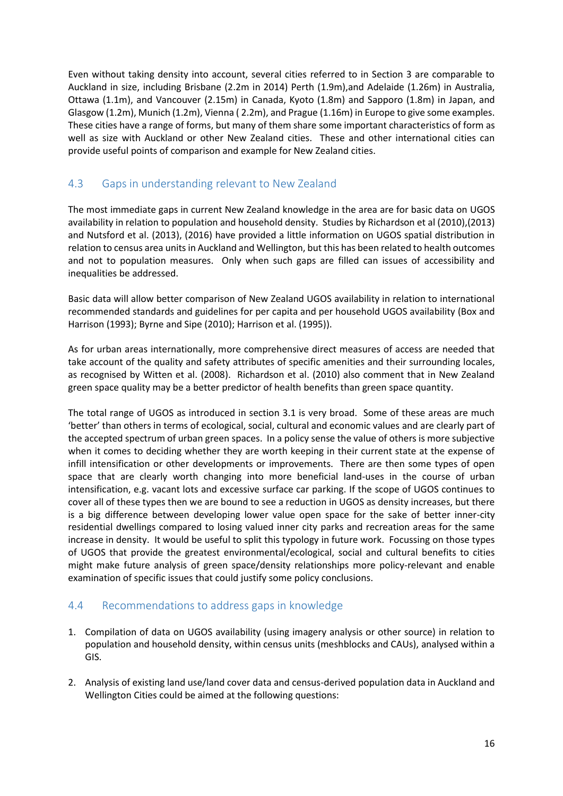Even without taking density into account, several cities referred to in Section 3 are comparable to Auckland in size, including Brisbane (2.2m in 2014) Perth (1.9m),and Adelaide (1.26m) in Australia, Ottawa (1.1m), and Vancouver (2.15m) in Canada, Kyoto (1.8m) and Sapporo (1.8m) in Japan, and Glasgow (1.2m), Munich (1.2m), Vienna ( 2.2m), and Prague (1.16m) in Europe to give some examples. These cities have a range of forms, but many of them share some important characteristics of form as well as size with Auckland or other New Zealand cities. These and other international cities can provide useful points of comparison and example for New Zealand cities.

## <span id="page-17-0"></span>4.3 Gaps in understanding relevant to New Zealand

The most immediate gaps in current New Zealand knowledge in the area are for basic data on UGOS availability in relation to population and household density. Studies by Richardson et al (2010),(2013) and Nutsford et al. (2013), (2016) have provided a little information on UGOS spatial distribution in relation to census area units in Auckland and Wellington, but this has been related to health outcomes and not to population measures. Only when such gaps are filled can issues of accessibility and inequalities be addressed.

Basic data will allow better comparison of New Zealand UGOS availability in relation to international recommended standards and guidelines for per capita and per household UGOS availability (Box and Harrison (1993); Byrne and Sipe (2010); Harrison et al. (1995)).

As for urban areas internationally, more comprehensive direct measures of access are needed that take account of the quality and safety attributes of specific amenities and their surrounding locales, as recognised by Witten et al. (2008). Richardson et al. (2010) also comment that in New Zealand green space quality may be a better predictor of health benefits than green space quantity.

The total range of UGOS as introduced in section 3.1 is very broad. Some of these areas are much 'better' than others in terms of ecological, social, cultural and economic values and are clearly part of the accepted spectrum of urban green spaces. In a policy sense the value of others is more subjective when it comes to deciding whether they are worth keeping in their current state at the expense of infill intensification or other developments or improvements. There are then some types of open space that are clearly worth changing into more beneficial land-uses in the course of urban intensification, e.g. vacant lots and excessive surface car parking. If the scope of UGOS continues to cover all of these types then we are bound to see a reduction in UGOS as density increases, but there is a big difference between developing lower value open space for the sake of better inner-city residential dwellings compared to losing valued inner city parks and recreation areas for the same increase in density. It would be useful to split this typology in future work. Focussing on those types of UGOS that provide the greatest environmental/ecological, social and cultural benefits to cities might make future analysis of green space/density relationships more policy-relevant and enable examination of specific issues that could justify some policy conclusions.

#### <span id="page-17-1"></span>4.4 Recommendations to address gaps in knowledge

- 1. Compilation of data on UGOS availability (using imagery analysis or other source) in relation to population and household density, within census units (meshblocks and CAUs), analysed within a GIS.
- 2. Analysis of existing land use/land cover data and census-derived population data in Auckland and Wellington Cities could be aimed at the following questions: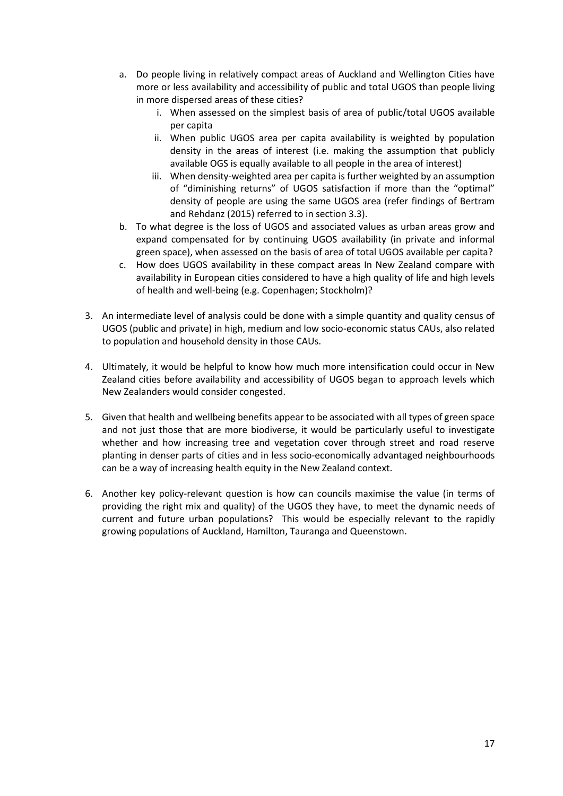- a. Do people living in relatively compact areas of Auckland and Wellington Cities have more or less availability and accessibility of public and total UGOS than people living in more dispersed areas of these cities?
	- i. When assessed on the simplest basis of area of public/total UGOS available per capita
	- ii. When public UGOS area per capita availability is weighted by population density in the areas of interest (i.e. making the assumption that publicly available OGS is equally available to all people in the area of interest)
	- iii. When density-weighted area per capita is further weighted by an assumption of "diminishing returns" of UGOS satisfaction if more than the "optimal" density of people are using the same UGOS area (refer findings of Bertram and Rehdanz (2015) referred to in section 3.3).
- b. To what degree is the loss of UGOS and associated values as urban areas grow and expand compensated for by continuing UGOS availability (in private and informal green space), when assessed on the basis of area of total UGOS available per capita?
- c. How does UGOS availability in these compact areas In New Zealand compare with availability in European cities considered to have a high quality of life and high levels of health and well-being (e.g. Copenhagen; Stockholm)?
- 3. An intermediate level of analysis could be done with a simple quantity and quality census of UGOS (public and private) in high, medium and low socio-economic status CAUs, also related to population and household density in those CAUs.
- 4. Ultimately, it would be helpful to know how much more intensification could occur in New Zealand cities before availability and accessibility of UGOS began to approach levels which New Zealanders would consider congested.
- 5. Given that health and wellbeing benefits appear to be associated with all types of green space and not just those that are more biodiverse, it would be particularly useful to investigate whether and how increasing tree and vegetation cover through street and road reserve planting in denser parts of cities and in less socio-economically advantaged neighbourhoods can be a way of increasing health equity in the New Zealand context.
- 6. Another key policy-relevant question is how can councils maximise the value (in terms of providing the right mix and quality) of the UGOS they have, to meet the dynamic needs of current and future urban populations? This would be especially relevant to the rapidly growing populations of Auckland, Hamilton, Tauranga and Queenstown.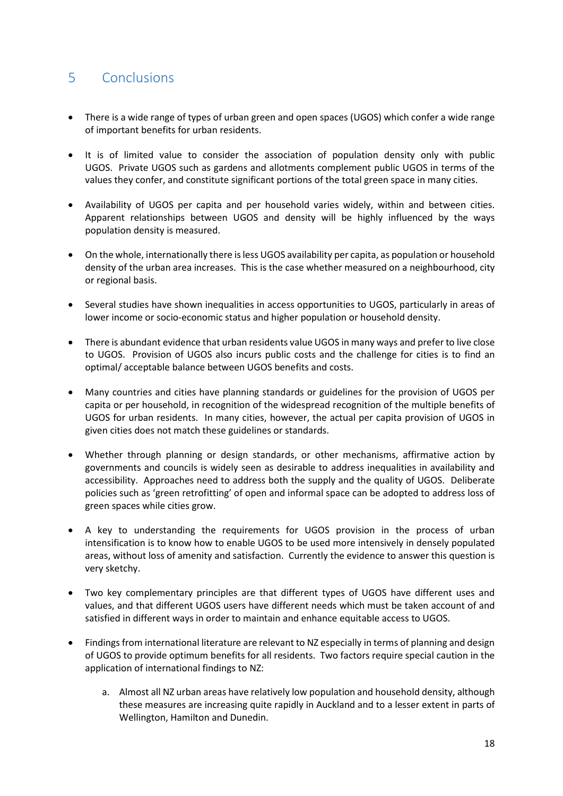# <span id="page-19-0"></span>5 Conclusions

- There is a wide range of types of urban green and open spaces (UGOS) which confer a wide range of important benefits for urban residents.
- It is of limited value to consider the association of population density only with public UGOS. Private UGOS such as gardens and allotments complement public UGOS in terms of the values they confer, and constitute significant portions of the total green space in many cities.
- Availability of UGOS per capita and per household varies widely, within and between cities. Apparent relationships between UGOS and density will be highly influenced by the ways population density is measured.
- On the whole, internationally there is less UGOS availability per capita, as population or household density of the urban area increases. This is the case whether measured on a neighbourhood, city or regional basis.
- Several studies have shown inequalities in access opportunities to UGOS, particularly in areas of lower income or socio-economic status and higher population or household density.
- There is abundant evidence that urban residents value UGOS in many ways and prefer to live close to UGOS. Provision of UGOS also incurs public costs and the challenge for cities is to find an optimal/ acceptable balance between UGOS benefits and costs.
- Many countries and cities have planning standards or guidelines for the provision of UGOS per capita or per household, in recognition of the widespread recognition of the multiple benefits of UGOS for urban residents. In many cities, however, the actual per capita provision of UGOS in given cities does not match these guidelines or standards.
- Whether through planning or design standards, or other mechanisms, affirmative action by governments and councils is widely seen as desirable to address inequalities in availability and accessibility. Approaches need to address both the supply and the quality of UGOS. Deliberate policies such as 'green retrofitting' of open and informal space can be adopted to address loss of green spaces while cities grow.
- A key to understanding the requirements for UGOS provision in the process of urban intensification is to know how to enable UGOS to be used more intensively in densely populated areas, without loss of amenity and satisfaction. Currently the evidence to answer this question is very sketchy.
- Two key complementary principles are that different types of UGOS have different uses and values, and that different UGOS users have different needs which must be taken account of and satisfied in different ways in order to maintain and enhance equitable access to UGOS.
- Findings from international literature are relevant to NZ especially in terms of planning and design of UGOS to provide optimum benefits for all residents. Two factors require special caution in the application of international findings to NZ:
	- a. Almost all NZ urban areas have relatively low population and household density, although these measures are increasing quite rapidly in Auckland and to a lesser extent in parts of Wellington, Hamilton and Dunedin.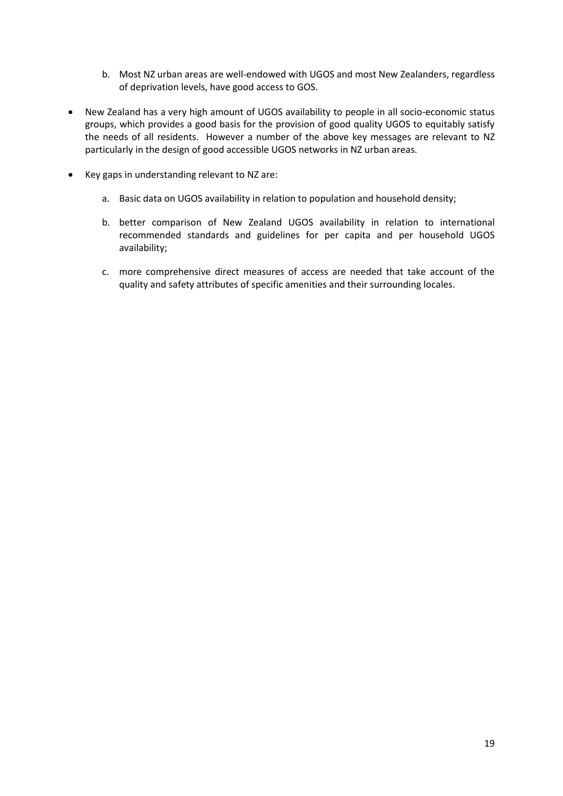- b. Most NZ urban areas are well-endowed with UGOS and most New Zealanders, regardless of deprivation levels, have good access to GOS.
- New Zealand has a very high amount of UGOS availability to people in all socio-economic status groups, which provides a good basis for the provision of good quality UGOS to equitably satisfy the needs of all residents. However a number of the above key messages are relevant to NZ particularly in the design of good accessible UGOS networks in NZ urban areas.
- Key gaps in understanding relevant to NZ are:
	- a. Basic data on UGOS availability in relation to population and household density;
	- b. better comparison of New Zealand UGOS availability in relation to international recommended standards and guidelines for per capita and per household UGOS availability;
	- c. more comprehensive direct measures of access are needed that take account of the quality and safety attributes of specific amenities and their surrounding locales.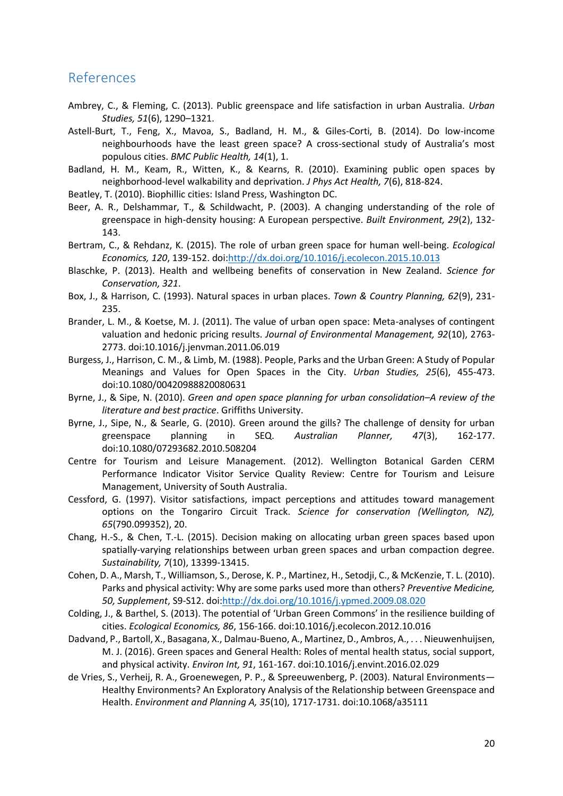### <span id="page-21-0"></span>References

- Ambrey, C., & Fleming, C. (2013). Public greenspace and life satisfaction in urban Australia. *Urban Studies, 51*(6), 1290–1321.
- Astell-Burt, T., Feng, X., Mavoa, S., Badland, H. M., & Giles-Corti, B. (2014). Do low-income neighbourhoods have the least green space? A cross-sectional study of Australia's most populous cities. *BMC Public Health, 14*(1), 1.
- Badland, H. M., Keam, R., Witten, K., & Kearns, R. (2010). Examining public open spaces by neighborhood-level walkability and deprivation. *J Phys Act Health, 7*(6), 818-824.
- Beatley, T. (2010). Biophillic cities: Island Press, Washington DC.
- Beer, A. R., Delshammar, T., & Schildwacht, P. (2003). A changing understanding of the role of greenspace in high-density housing: A European perspective. *Built Environment, 29*(2), 132- 143.
- Bertram, C., & Rehdanz, K. (2015). The role of urban green space for human well-being. *Ecological Economics, 120*, 139-152. doi[:http://dx.doi.org/10.1016/j.ecolecon.2015.10.013](http://dx.doi.org/10.1016/j.ecolecon.2015.10.013)
- Blaschke, P. (2013). Health and wellbeing benefits of conservation in New Zealand. *Science for Conservation, 321*.
- Box, J., & Harrison, C. (1993). Natural spaces in urban places. *Town & Country Planning, 62*(9), 231- 235.
- Brander, L. M., & Koetse, M. J. (2011). The value of urban open space: Meta-analyses of contingent valuation and hedonic pricing results. *Journal of Environmental Management, 92*(10), 2763- 2773. doi:10.1016/j.jenvman.2011.06.019
- Burgess, J., Harrison, C. M., & Limb, M. (1988). People, Parks and the Urban Green: A Study of Popular Meanings and Values for Open Spaces in the City. *Urban Studies, 25*(6), 455-473. doi:10.1080/00420988820080631
- Byrne, J., & Sipe, N. (2010). *Green and open space planning for urban consolidation–A review of the literature and best practice*. Griffiths University.
- Byrne, J., Sipe, N., & Searle, G. (2010). Green around the gills? The challenge of density for urban greenspace planning in SEQ. *Australian Planner, 47*(3), 162-177. doi:10.1080/07293682.2010.508204
- Centre for Tourism and Leisure Management. (2012). Wellington Botanical Garden CERM Performance Indicator Visitor Service Quality Review: Centre for Tourism and Leisure Management, University of South Australia.
- Cessford, G. (1997). Visitor satisfactions, impact perceptions and attitudes toward management options on the Tongariro Circuit Track. *Science for conservation (Wellington, NZ), 65*(790.099352), 20.
- Chang, H.-S., & Chen, T.-L. (2015). Decision making on allocating urban green spaces based upon spatially-varying relationships between urban green spaces and urban compaction degree. *Sustainability, 7*(10), 13399-13415.
- Cohen, D. A., Marsh, T., Williamson, S., Derose, K. P., Martinez, H., Setodji, C., & McKenzie, T. L. (2010). Parks and physical activity: Why are some parks used more than others? *Preventive Medicine, 50, Supplement*, S9-S12. doi[:http://dx.doi.org/10.1016/j.ypmed.2009.08.020](http://dx.doi.org/10.1016/j.ypmed.2009.08.020)
- Colding, J., & Barthel, S. (2013). The potential of 'Urban Green Commons' in the resilience building of cities. *Ecological Economics, 86*, 156-166. doi:10.1016/j.ecolecon.2012.10.016
- Dadvand, P., Bartoll, X., Basagana, X., Dalmau-Bueno, A., Martinez, D., Ambros, A., . . . Nieuwenhuijsen, M. J. (2016). Green spaces and General Health: Roles of mental health status, social support, and physical activity. *Environ Int, 91*, 161-167. doi:10.1016/j.envint.2016.02.029
- de Vries, S., Verheij, R. A., Groenewegen, P. P., & Spreeuwenberg, P. (2003). Natural Environments— Healthy Environments? An Exploratory Analysis of the Relationship between Greenspace and Health. *Environment and Planning A, 35*(10), 1717-1731. doi:10.1068/a35111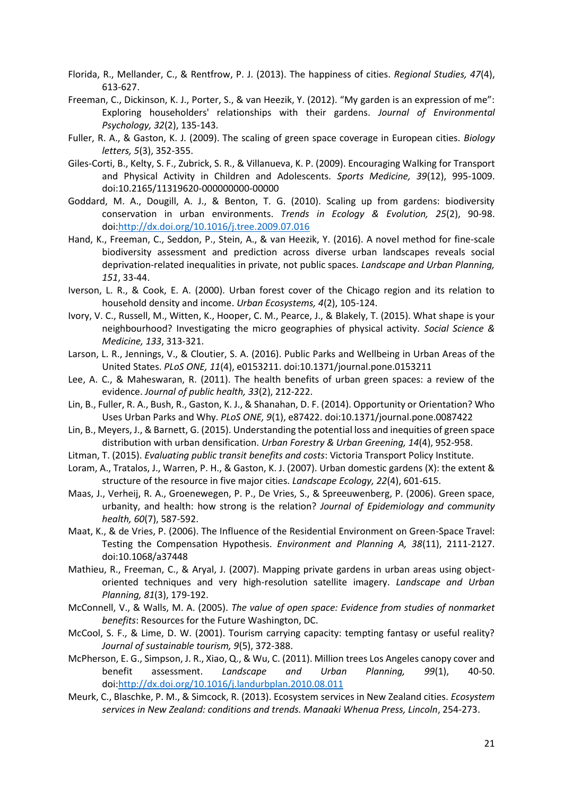- Florida, R., Mellander, C., & Rentfrow, P. J. (2013). The happiness of cities. *Regional Studies, 47*(4), 613-627.
- Freeman, C., Dickinson, K. J., Porter, S., & van Heezik, Y. (2012). "My garden is an expression of me": Exploring householders' relationships with their gardens. *Journal of Environmental Psychology, 32*(2), 135-143.
- Fuller, R. A., & Gaston, K. J. (2009). The scaling of green space coverage in European cities. *Biology letters, 5*(3), 352-355.
- Giles-Corti, B., Kelty, S. F., Zubrick, S. R., & Villanueva, K. P. (2009). Encouraging Walking for Transport and Physical Activity in Children and Adolescents. *Sports Medicine, 39*(12), 995-1009. doi:10.2165/11319620-000000000-00000
- Goddard, M. A., Dougill, A. J., & Benton, T. G. (2010). Scaling up from gardens: biodiversity conservation in urban environments. *Trends in Ecology & Evolution, 25*(2), 90-98. doi[:http://dx.doi.org/10.1016/j.tree.2009.07.016](http://dx.doi.org/10.1016/j.tree.2009.07.016)
- Hand, K., Freeman, C., Seddon, P., Stein, A., & van Heezik, Y. (2016). A novel method for fine-scale biodiversity assessment and prediction across diverse urban landscapes reveals social deprivation-related inequalities in private, not public spaces. *Landscape and Urban Planning, 151*, 33-44.
- Iverson, L. R., & Cook, E. A. (2000). Urban forest cover of the Chicago region and its relation to household density and income. *Urban Ecosystems, 4*(2), 105-124.
- Ivory, V. C., Russell, M., Witten, K., Hooper, C. M., Pearce, J., & Blakely, T. (2015). What shape is your neighbourhood? Investigating the micro geographies of physical activity. *Social Science & Medicine, 133*, 313-321.
- Larson, L. R., Jennings, V., & Cloutier, S. A. (2016). Public Parks and Wellbeing in Urban Areas of the United States. *PLoS ONE, 11*(4), e0153211. doi:10.1371/journal.pone.0153211
- Lee, A. C., & Maheswaran, R. (2011). The health benefits of urban green spaces: a review of the evidence. *Journal of public health, 33*(2), 212-222.
- Lin, B., Fuller, R. A., Bush, R., Gaston, K. J., & Shanahan, D. F. (2014). Opportunity or Orientation? Who Uses Urban Parks and Why. *PLoS ONE, 9*(1), e87422. doi:10.1371/journal.pone.0087422
- Lin, B., Meyers, J., & Barnett, G. (2015). Understanding the potential loss and inequities of green space distribution with urban densification. *Urban Forestry & Urban Greening, 14*(4), 952-958.
- Litman, T. (2015). *Evaluating public transit benefits and costs*: Victoria Transport Policy Institute.
- Loram, A., Tratalos, J., Warren, P. H., & Gaston, K. J. (2007). Urban domestic gardens (X): the extent & structure of the resource in five major cities. *Landscape Ecology, 22*(4), 601-615.
- Maas, J., Verheij, R. A., Groenewegen, P. P., De Vries, S., & Spreeuwenberg, P. (2006). Green space, urbanity, and health: how strong is the relation? *Journal of Epidemiology and community health, 60*(7), 587-592.
- Maat, K., & de Vries, P. (2006). The Influence of the Residential Environment on Green-Space Travel: Testing the Compensation Hypothesis. *Environment and Planning A, 38*(11), 2111-2127. doi:10.1068/a37448
- Mathieu, R., Freeman, C., & Aryal, J. (2007). Mapping private gardens in urban areas using objectoriented techniques and very high-resolution satellite imagery. *Landscape and Urban Planning, 81*(3), 179-192.
- McConnell, V., & Walls, M. A. (2005). *The value of open space: Evidence from studies of nonmarket benefits*: Resources for the Future Washington, DC.
- McCool, S. F., & Lime, D. W. (2001). Tourism carrying capacity: tempting fantasy or useful reality? *Journal of sustainable tourism, 9*(5), 372-388.
- McPherson, E. G., Simpson, J. R., Xiao, Q., & Wu, C. (2011). Million trees Los Angeles canopy cover and benefit assessment. *Landscape and Urban Planning, 99*(1), 40-50. doi[:http://dx.doi.org/10.1016/j.landurbplan.2010.08.011](http://dx.doi.org/10.1016/j.landurbplan.2010.08.011)
- Meurk, C., Blaschke, P. M., & Simcock, R. (2013). Ecosystem services in New Zealand cities. *Ecosystem services in New Zealand: conditions and trends. Manaaki Whenua Press, Lincoln*, 254-273.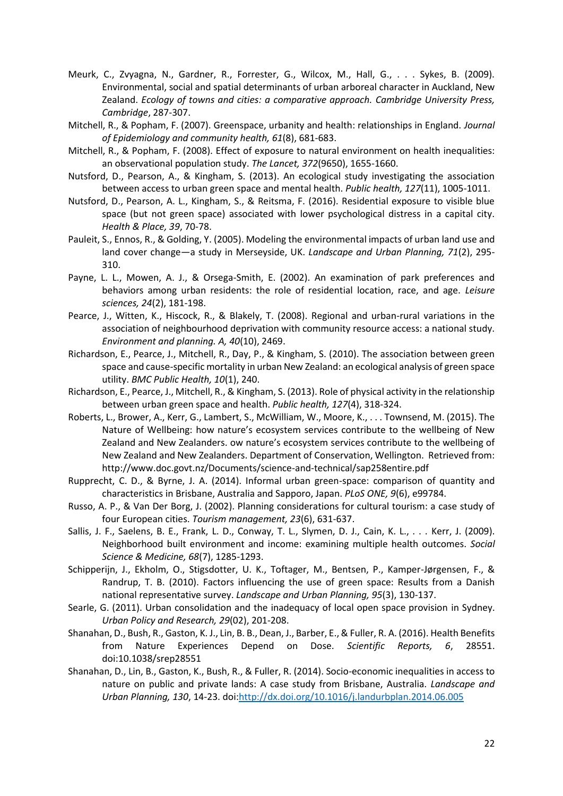- Meurk, C., Zvyagna, N., Gardner, R., Forrester, G., Wilcox, M., Hall, G., . . . Sykes, B. (2009). Environmental, social and spatial determinants of urban arboreal character in Auckland, New Zealand. *Ecology of towns and cities: a comparative approach. Cambridge University Press, Cambridge*, 287-307.
- Mitchell, R., & Popham, F. (2007). Greenspace, urbanity and health: relationships in England. *Journal of Epidemiology and community health, 61*(8), 681-683.
- Mitchell, R., & Popham, F. (2008). Effect of exposure to natural environment on health inequalities: an observational population study. *The Lancet, 372*(9650), 1655-1660.
- Nutsford, D., Pearson, A., & Kingham, S. (2013). An ecological study investigating the association between access to urban green space and mental health. *Public health, 127*(11), 1005-1011.
- Nutsford, D., Pearson, A. L., Kingham, S., & Reitsma, F. (2016). Residential exposure to visible blue space (but not green space) associated with lower psychological distress in a capital city. *Health & Place, 39*, 70-78.
- Pauleit, S., Ennos, R., & Golding, Y. (2005). Modeling the environmental impacts of urban land use and land cover change—a study in Merseyside, UK. *Landscape and Urban Planning, 71*(2), 295- 310.
- Payne, L. L., Mowen, A. J., & Orsega-Smith, E. (2002). An examination of park preferences and behaviors among urban residents: the role of residential location, race, and age. *Leisure sciences, 24*(2), 181-198.
- Pearce, J., Witten, K., Hiscock, R., & Blakely, T. (2008). Regional and urban-rural variations in the association of neighbourhood deprivation with community resource access: a national study. *Environment and planning. A, 40*(10), 2469.
- Richardson, E., Pearce, J., Mitchell, R., Day, P., & Kingham, S. (2010). The association between green space and cause-specific mortality in urban New Zealand: an ecological analysis of green space utility. *BMC Public Health, 10*(1), 240.
- Richardson, E., Pearce, J., Mitchell, R., & Kingham, S. (2013). Role of physical activity in the relationship between urban green space and health. *Public health, 127*(4), 318-324.
- Roberts, L., Brower, A., Kerr, G., Lambert, S., McWilliam, W., Moore, K., . . . Townsend, M. (2015). The Nature of Wellbeing: how nature's ecosystem services contribute to the wellbeing of New Zealand and New Zealanders. ow nature's ecosystem services contribute to the wellbeing of New Zealand and New Zealanders. Department of Conservation, Wellington. Retrieved from: http://www.doc.govt.nz/Documents/science-and-technical/sap258entire.pdf
- Rupprecht, C. D., & Byrne, J. A. (2014). Informal urban green-space: comparison of quantity and characteristics in Brisbane, Australia and Sapporo, Japan. *PLoS ONE, 9*(6), e99784.
- Russo, A. P., & Van Der Borg, J. (2002). Planning considerations for cultural tourism: a case study of four European cities. *Tourism management, 23*(6), 631-637.
- Sallis, J. F., Saelens, B. E., Frank, L. D., Conway, T. L., Slymen, D. J., Cain, K. L., . . . Kerr, J. (2009). Neighborhood built environment and income: examining multiple health outcomes. *Social Science & Medicine, 68*(7), 1285-1293.
- Schipperijn, J., Ekholm, O., Stigsdotter, U. K., Toftager, M., Bentsen, P., Kamper-Jørgensen, F., & Randrup, T. B. (2010). Factors influencing the use of green space: Results from a Danish national representative survey. *Landscape and Urban Planning, 95*(3), 130-137.
- Searle, G. (2011). Urban consolidation and the inadequacy of local open space provision in Sydney. *Urban Policy and Research, 29*(02), 201-208.
- Shanahan, D., Bush, R., Gaston, K. J., Lin, B. B., Dean, J., Barber, E., & Fuller, R. A. (2016). Health Benefits from Nature Experiences Depend on Dose. *Scientific Reports, 6*, 28551. doi:10.1038/srep28551
- Shanahan, D., Lin, B., Gaston, K., Bush, R., & Fuller, R. (2014). Socio-economic inequalities in access to nature on public and private lands: A case study from Brisbane, Australia. *Landscape and Urban Planning, 130*, 14-23. doi[:http://dx.doi.org/10.1016/j.landurbplan.2014.06.005](http://dx.doi.org/10.1016/j.landurbplan.2014.06.005)